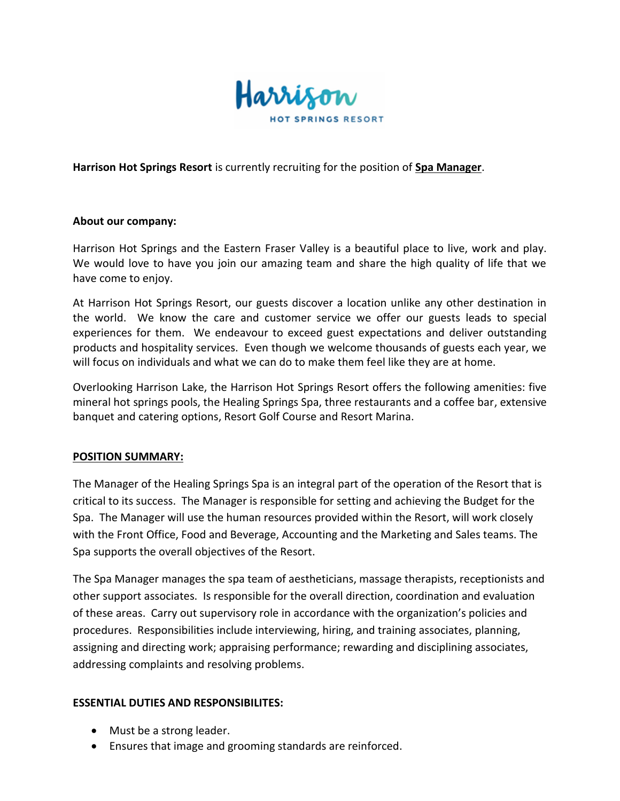

**Harrison Hot Springs Resort** is currently recruiting for the position of **Spa Manager**.

## **About our company:**

Harrison Hot Springs and the Eastern Fraser Valley is a beautiful place to live, work and play. We would love to have you join our amazing team and share the high quality of life that we have come to enjoy.

At Harrison Hot Springs Resort, our guests discover a location unlike any other destination in the world. We know the care and customer service we offer our guests leads to special experiences for them. We endeavour to exceed guest expectations and deliver outstanding products and hospitality services. Even though we welcome thousands of guests each year, we will focus on individuals and what we can do to make them feel like they are at home.

Overlooking Harrison Lake, the Harrison Hot Springs Resort offers the following amenities: five mineral hot springs pools, the Healing Springs Spa, three restaurants and a coffee bar, extensive banquet and catering options, Resort Golf Course and Resort Marina.

## **POSITION SUMMARY:**

The Manager of the Healing Springs Spa is an integral part of the operation of the Resort that is critical to its success. The Manager is responsible for setting and achieving the Budget for the Spa. The Manager will use the human resources provided within the Resort, will work closely with the Front Office, Food and Beverage, Accounting and the Marketing and Sales teams. The Spa supports the overall objectives of the Resort.

The Spa Manager manages the spa team of aestheticians, massage therapists, receptionists and other support associates. Is responsible for the overall direction, coordination and evaluation of these areas. Carry out supervisory role in accordance with the organization's policies and procedures. Responsibilities include interviewing, hiring, and training associates, planning, assigning and directing work; appraising performance; rewarding and disciplining associates, addressing complaints and resolving problems.

## **ESSENTIAL DUTIES AND RESPONSIBILITES:**

- Must be a strong leader.
- Ensures that image and grooming standards are reinforced.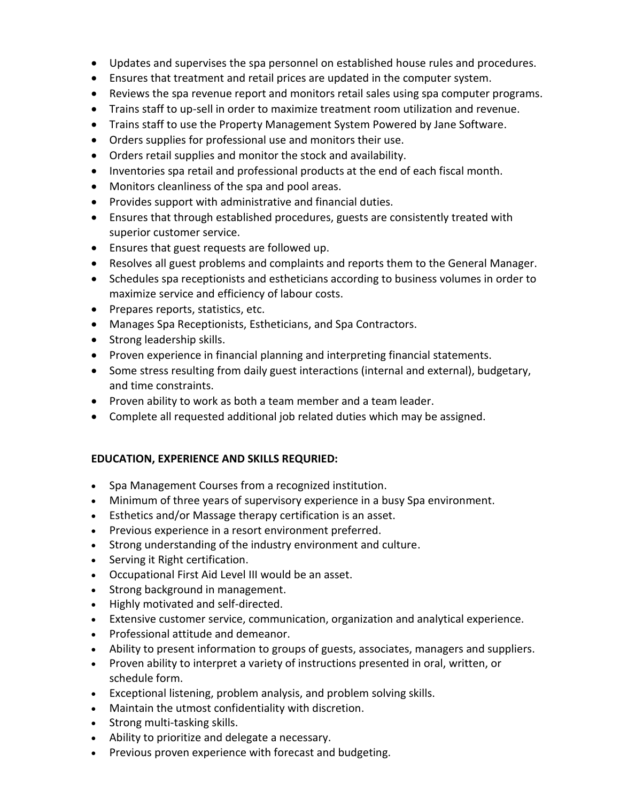- Updates and supervises the spa personnel on established house rules and procedures.
- Ensures that treatment and retail prices are updated in the computer system.
- Reviews the spa revenue report and monitors retail sales using spa computer programs.
- Trains staff to up-sell in order to maximize treatment room utilization and revenue.
- Trains staff to use the Property Management System Powered by Jane Software.
- Orders supplies for professional use and monitors their use.
- Orders retail supplies and monitor the stock and availability.
- Inventories spa retail and professional products at the end of each fiscal month.
- Monitors cleanliness of the spa and pool areas.
- Provides support with administrative and financial duties.
- Ensures that through established procedures, guests are consistently treated with superior customer service.
- Ensures that guest requests are followed up.
- Resolves all guest problems and complaints and reports them to the General Manager.
- Schedules spa receptionists and estheticians according to business volumes in order to maximize service and efficiency of labour costs.
- Prepares reports, statistics, etc.
- Manages Spa Receptionists, Estheticians, and Spa Contractors.
- Strong leadership skills.
- Proven experience in financial planning and interpreting financial statements.
- Some stress resulting from daily guest interactions (internal and external), budgetary, and time constraints.
- Proven ability to work as both a team member and a team leader.
- Complete all requested additional job related duties which may be assigned.

## **EDUCATION, EXPERIENCE AND SKILLS REQURIED:**

- Spa Management Courses from a recognized institution.
- Minimum of three years of supervisory experience in a busy Spa environment.
- Esthetics and/or Massage therapy certification is an asset.
- Previous experience in a resort environment preferred.
- Strong understanding of the industry environment and culture.
- Serving it Right certification.
- Occupational First Aid Level III would be an asset.
- Strong background in management.
- Highly motivated and self-directed.
- Extensive customer service, communication, organization and analytical experience.
- Professional attitude and demeanor.
- Ability to present information to groups of guests, associates, managers and suppliers.
- Proven ability to interpret a variety of instructions presented in oral, written, or schedule form.
- Exceptional listening, problem analysis, and problem solving skills.
- Maintain the utmost confidentiality with discretion.
- Strong multi-tasking skills.
- Ability to prioritize and delegate a necessary.
- Previous proven experience with forecast and budgeting.